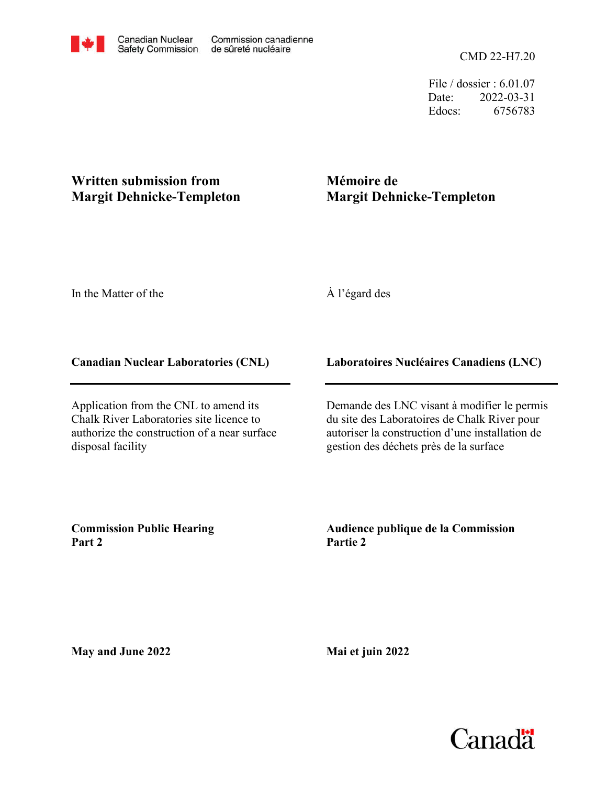CMD 22-H7.20

File / dossier : 6.01.07 Date: 2022-03-31 Edocs: 6756783

## **Written submission from Margit Dehnicke-Templeton**

# **Mémoire de Margit Dehnicke-Templeton**

In the Matter of the

## À l'égard des

### **Canadian Nuclear Laboratories (CNL)**

Application from the CNL to amend its Chalk River Laboratories site licence to authorize the construction of a near surface disposal facility

### **Laboratoires Nucléaires Canadiens (LNC)**

Demande des LNC visant à modifier le permis du site des Laboratoires de Chalk River pour autoriser la construction d'une installation de gestion des déchets près de la surface

**Commission Public Hearing Part 2**

**Audience publique de la Commission Partie 2**

**May and June 2022**

**Mai et juin 2022**